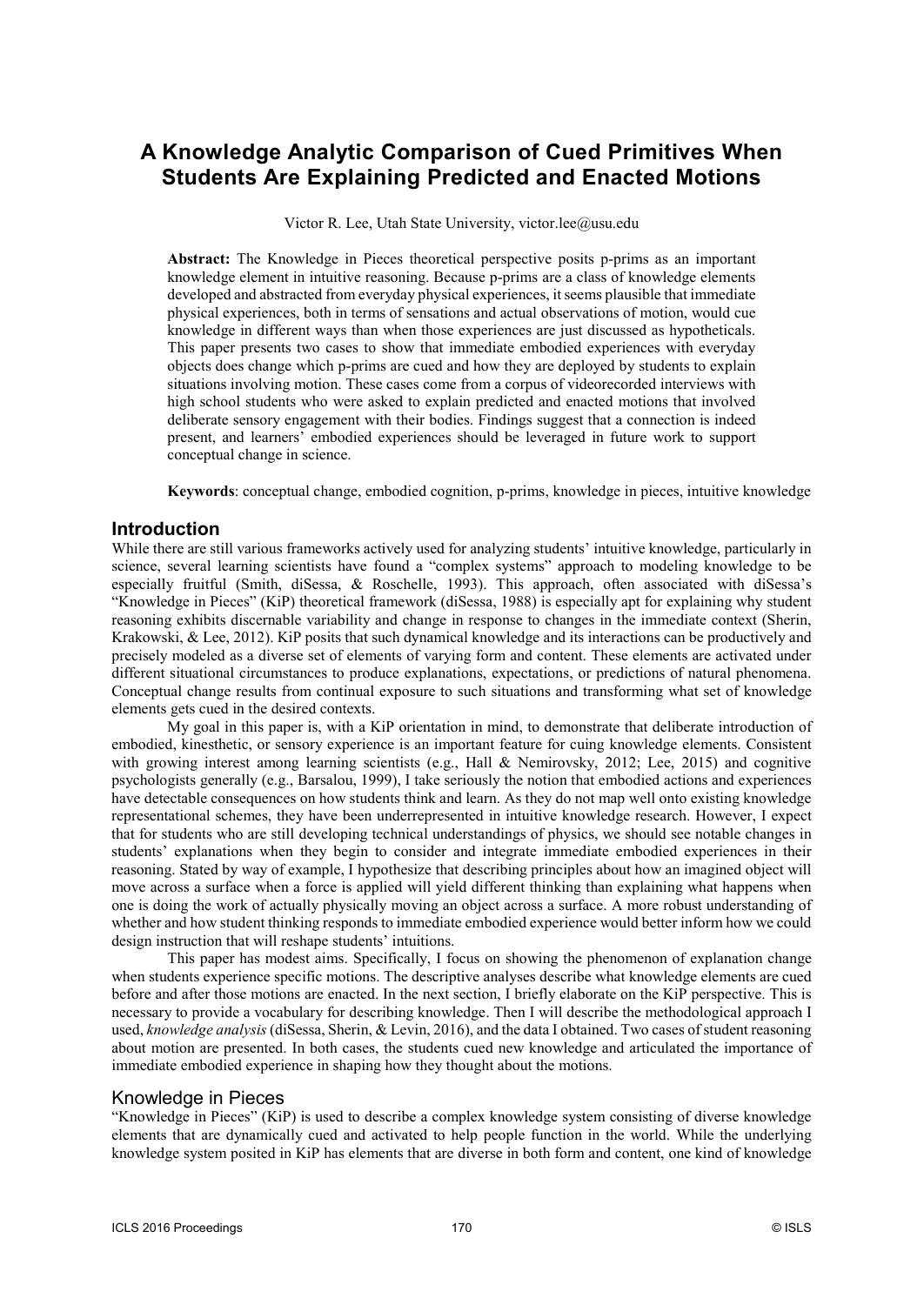# **A Knowledge Analytic Comparison of Cued Primitives When Students Are Explaining Predicted and Enacted Motions**

Victor R. Lee, Utah State University, victor.lee@usu.edu

**Abstract:** The Knowledge in Pieces theoretical perspective posits p-prims as an important knowledge element in intuitive reasoning. Because p-prims are a class of knowledge elements developed and abstracted from everyday physical experiences, it seems plausible that immediate physical experiences, both in terms of sensations and actual observations of motion, would cue knowledge in different ways than when those experiences are just discussed as hypotheticals. This paper presents two cases to show that immediate embodied experiences with everyday objects does change which p-prims are cued and how they are deployed by students to explain situations involving motion. These cases come from a corpus of videorecorded interviews with high school students who were asked to explain predicted and enacted motions that involved deliberate sensory engagement with their bodies. Findings suggest that a connection is indeed present, and learners' embodied experiences should be leveraged in future work to support conceptual change in science.

**Keywords**: conceptual change, embodied cognition, p-prims, knowledge in pieces, intuitive knowledge

### **Introduction**

While there are still various frameworks actively used for analyzing students' intuitive knowledge, particularly in science, several learning scientists have found a "complex systems" approach to modeling knowledge to be especially fruitful (Smith, diSessa, & Roschelle, 1993). This approach, often associated with diSessa's "Knowledge in Pieces" (KiP) theoretical framework (diSessa, 1988) is especially apt for explaining why student reasoning exhibits discernable variability and change in response to changes in the immediate context (Sherin, Krakowski, & Lee, 2012). KiP posits that such dynamical knowledge and its interactions can be productively and precisely modeled as a diverse set of elements of varying form and content. These elements are activated under different situational circumstances to produce explanations, expectations, or predictions of natural phenomena. Conceptual change results from continual exposure to such situations and transforming what set of knowledge elements gets cued in the desired contexts.

My goal in this paper is, with a KiP orientation in mind, to demonstrate that deliberate introduction of embodied, kinesthetic, or sensory experience is an important feature for cuing knowledge elements. Consistent with growing interest among learning scientists (e.g., Hall & Nemirovsky, 2012; Lee, 2015) and cognitive psychologists generally (e.g., Barsalou, 1999), I take seriously the notion that embodied actions and experiences have detectable consequences on how students think and learn. As they do not map well onto existing knowledge representational schemes, they have been underrepresented in intuitive knowledge research. However, I expect that for students who are still developing technical understandings of physics, we should see notable changes in students' explanations when they begin to consider and integrate immediate embodied experiences in their reasoning. Stated by way of example, I hypothesize that describing principles about how an imagined object will move across a surface when a force is applied will yield different thinking than explaining what happens when one is doing the work of actually physically moving an object across a surface. A more robust understanding of whether and how student thinking responds to immediate embodied experience would better inform how we could design instruction that will reshape students' intuitions.

This paper has modest aims. Specifically, I focus on showing the phenomenon of explanation change when students experience specific motions. The descriptive analyses describe what knowledge elements are cued before and after those motions are enacted. In the next section, I briefly elaborate on the KiP perspective. This is necessary to provide a vocabulary for describing knowledge. Then I will describe the methodological approach I used, *knowledge analysis* (diSessa, Sherin, & Levin, 2016), and the data I obtained. Two cases of student reasoning about motion are presented. In both cases, the students cued new knowledge and articulated the importance of immediate embodied experience in shaping how they thought about the motions.

### Knowledge in Pieces

"Knowledge in Pieces" (KiP) is used to describe a complex knowledge system consisting of diverse knowledge elements that are dynamically cued and activated to help people function in the world. While the underlying knowledge system posited in KiP has elements that are diverse in both form and content, one kind of knowledge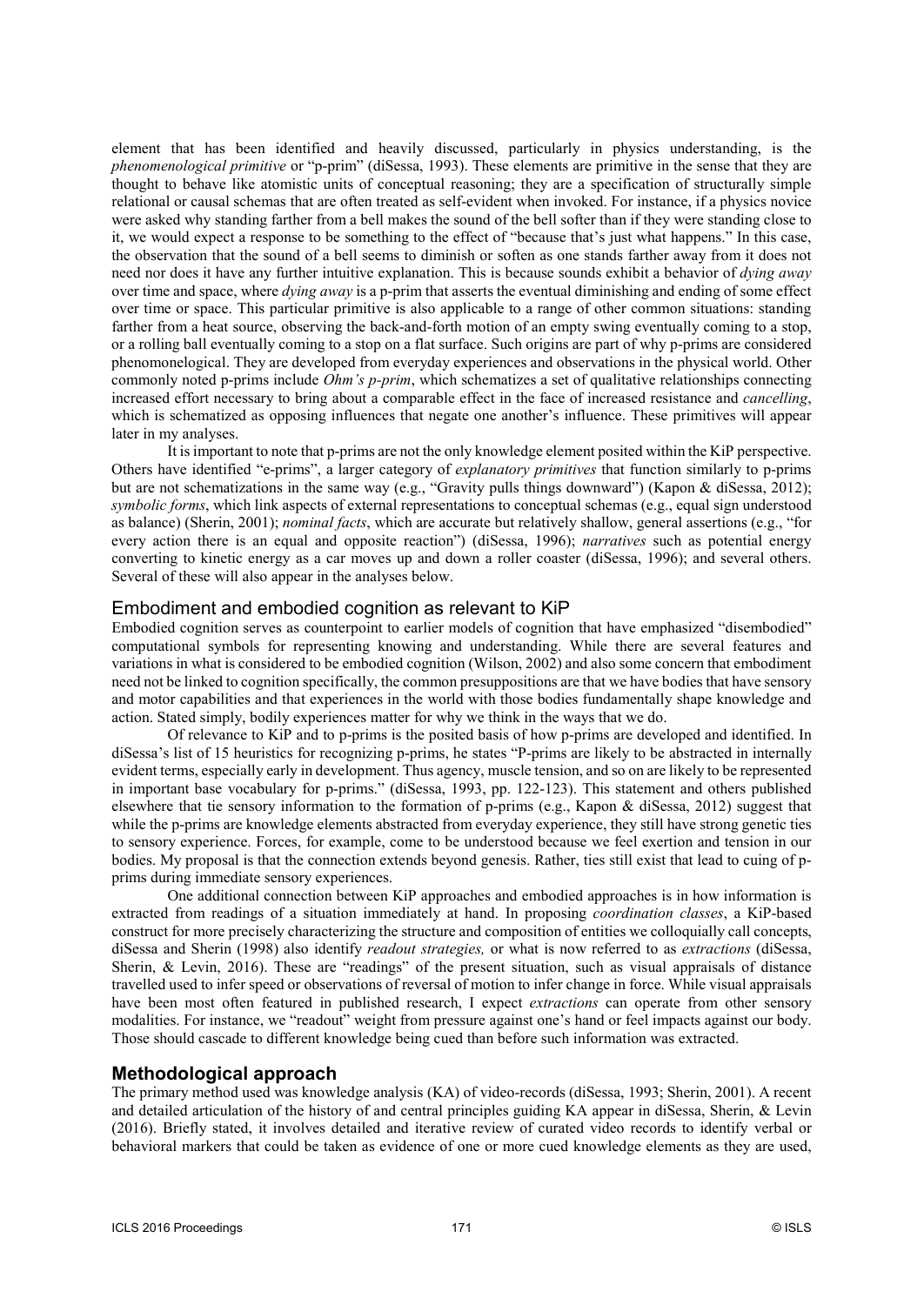element that has been identified and heavily discussed, particularly in physics understanding, is the *phenomenological primitive* or "p-prim" (diSessa, 1993). These elements are primitive in the sense that they are thought to behave like atomistic units of conceptual reasoning; they are a specification of structurally simple relational or causal schemas that are often treated as self-evident when invoked. For instance, if a physics novice were asked why standing farther from a bell makes the sound of the bell softer than if they were standing close to it, we would expect a response to be something to the effect of "because that's just what happens." In this case, the observation that the sound of a bell seems to diminish or soften as one stands farther away from it does not need nor does it have any further intuitive explanation. This is because sounds exhibit a behavior of *dying away* over time and space, where *dying away* is a p-prim that asserts the eventual diminishing and ending of some effect over time or space. This particular primitive is also applicable to a range of other common situations: standing farther from a heat source, observing the back-and-forth motion of an empty swing eventually coming to a stop, or a rolling ball eventually coming to a stop on a flat surface. Such origins are part of why p-prims are considered phenomonelogical. They are developed from everyday experiences and observations in the physical world. Other commonly noted p-prims include *Ohm's p-prim*, which schematizes a set of qualitative relationships connecting increased effort necessary to bring about a comparable effect in the face of increased resistance and *cancelling*, which is schematized as opposing influences that negate one another's influence. These primitives will appear later in my analyses.

It is important to note that p-prims are not the only knowledge element posited within the KiP perspective. Others have identified "e-prims", a larger category of *explanatory primitives* that function similarly to p-prims but are not schematizations in the same way (e.g., "Gravity pulls things downward") (Kapon & diSessa, 2012); *symbolic forms*, which link aspects of external representations to conceptual schemas (e.g., equal sign understood as balance) (Sherin, 2001); *nominal facts*, which are accurate but relatively shallow, general assertions (e.g., "for every action there is an equal and opposite reaction") (diSessa, 1996); *narratives* such as potential energy converting to kinetic energy as a car moves up and down a roller coaster (diSessa, 1996); and several others. Several of these will also appear in the analyses below.

## Embodiment and embodied cognition as relevant to KiP

Embodied cognition serves as counterpoint to earlier models of cognition that have emphasized "disembodied" computational symbols for representing knowing and understanding. While there are several features and variations in what is considered to be embodied cognition (Wilson, 2002) and also some concern that embodiment need not be linked to cognition specifically, the common presuppositions are that we have bodies that have sensory and motor capabilities and that experiences in the world with those bodies fundamentally shape knowledge and action. Stated simply, bodily experiences matter for why we think in the ways that we do.

Of relevance to KiP and to p-prims is the posited basis of how p-prims are developed and identified. In diSessa's list of 15 heuristics for recognizing p-prims, he states "P-prims are likely to be abstracted in internally evident terms, especially early in development. Thus agency, muscle tension, and so on are likely to be represented in important base vocabulary for p-prims." (diSessa, 1993, pp. 122-123). This statement and others published elsewhere that tie sensory information to the formation of p-prims (e.g., Kapon & diSessa, 2012) suggest that while the p-prims are knowledge elements abstracted from everyday experience, they still have strong genetic ties to sensory experience. Forces, for example, come to be understood because we feel exertion and tension in our bodies. My proposal is that the connection extends beyond genesis. Rather, ties still exist that lead to cuing of pprims during immediate sensory experiences.

One additional connection between KiP approaches and embodied approaches is in how information is extracted from readings of a situation immediately at hand. In proposing *coordination classes*, a KiP-based construct for more precisely characterizing the structure and composition of entities we colloquially call concepts, diSessa and Sherin (1998) also identify *readout strategies,* or what is now referred to as *extractions* (diSessa, Sherin, & Levin, 2016). These are "readings" of the present situation, such as visual appraisals of distance travelled used to infer speed or observations of reversal of motion to infer change in force. While visual appraisals have been most often featured in published research, I expect *extractions* can operate from other sensory modalities. For instance, we "readout" weight from pressure against one's hand or feel impacts against our body. Those should cascade to different knowledge being cued than before such information was extracted.

# **Methodological approach**

The primary method used was knowledge analysis (KA) of video-records (diSessa, 1993; Sherin, 2001). A recent and detailed articulation of the history of and central principles guiding KA appear in diSessa, Sherin, & Levin (2016). Briefly stated, it involves detailed and iterative review of curated video records to identify verbal or behavioral markers that could be taken as evidence of one or more cued knowledge elements as they are used,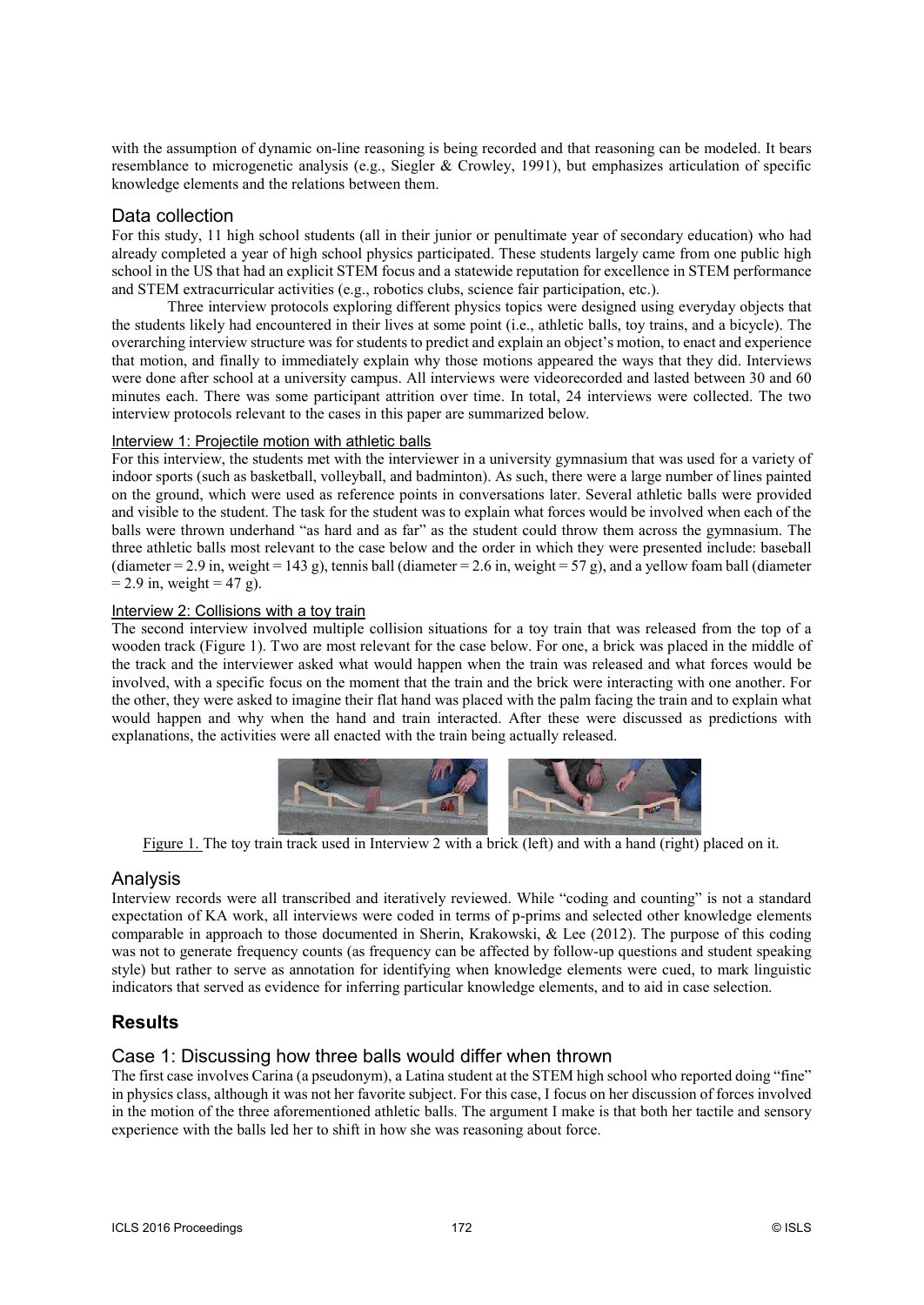with the assumption of dynamic on-line reasoning is being recorded and that reasoning can be modeled. It bears resemblance to microgenetic analysis (e.g., Siegler & Crowley, 1991), but emphasizes articulation of specific knowledge elements and the relations between them.

### Data collection

For this study, 11 high school students (all in their junior or penultimate year of secondary education) who had already completed a year of high school physics participated. These students largely came from one public high school in the US that had an explicit STEM focus and a statewide reputation for excellence in STEM performance and STEM extracurricular activities (e.g., robotics clubs, science fair participation, etc.).

Three interview protocols exploring different physics topics were designed using everyday objects that the students likely had encountered in their lives at some point (i.e., athletic balls, toy trains, and a bicycle). The overarching interview structure was for students to predict and explain an object's motion, to enact and experience that motion, and finally to immediately explain why those motions appeared the ways that they did. Interviews were done after school at a university campus. All interviews were videorecorded and lasted between 30 and 60 minutes each. There was some participant attrition over time. In total, 24 interviews were collected. The two interview protocols relevant to the cases in this paper are summarized below.

### Interview 1: Projectile motion with athletic balls

For this interview, the students met with the interviewer in a university gymnasium that was used for a variety of indoor sports (such as basketball, volleyball, and badminton). As such, there were a large number of lines painted on the ground, which were used as reference points in conversations later. Several athletic balls were provided and visible to the student. The task for the student was to explain what forces would be involved when each of the balls were thrown underhand "as hard and as far" as the student could throw them across the gymnasium. The three athletic balls most relevant to the case below and the order in which they were presented include: baseball (diameter = 2.9 in, weight = 143 g), tennis ball (diameter = 2.6 in, weight = 57 g), and a yellow foam ball (diameter  $= 2.9$  in, weight  $= 47$  g).

### Interview 2: Collisions with a toy train

The second interview involved multiple collision situations for a toy train that was released from the top of a wooden track (Figure 1). Two are most relevant for the case below. For one, a brick was placed in the middle of the track and the interviewer asked what would happen when the train was released and what forces would be involved, with a specific focus on the moment that the train and the brick were interacting with one another. For the other, they were asked to imagine their flat hand was placed with the palm facing the train and to explain what would happen and why when the hand and train interacted. After these were discussed as predictions with explanations, the activities were all enacted with the train being actually released.



Figure 1. The toy train track used in Interview 2 with a brick (left) and with a hand (right) placed on it.

### Analysis

Interview records were all transcribed and iteratively reviewed. While "coding and counting" is not a standard expectation of KA work, all interviews were coded in terms of p-prims and selected other knowledge elements comparable in approach to those documented in Sherin, Krakowski, & Lee (2012). The purpose of this coding was not to generate frequency counts (as frequency can be affected by follow-up questions and student speaking style) but rather to serve as annotation for identifying when knowledge elements were cued, to mark linguistic indicators that served as evidence for inferring particular knowledge elements, and to aid in case selection.

# **Results**

### Case 1: Discussing how three balls would differ when thrown

The first case involves Carina (a pseudonym), a Latina student at the STEM high school who reported doing "fine" in physics class, although it was not her favorite subject. For this case, I focus on her discussion of forces involved in the motion of the three aforementioned athletic balls. The argument I make is that both her tactile and sensory experience with the balls led her to shift in how she was reasoning about force.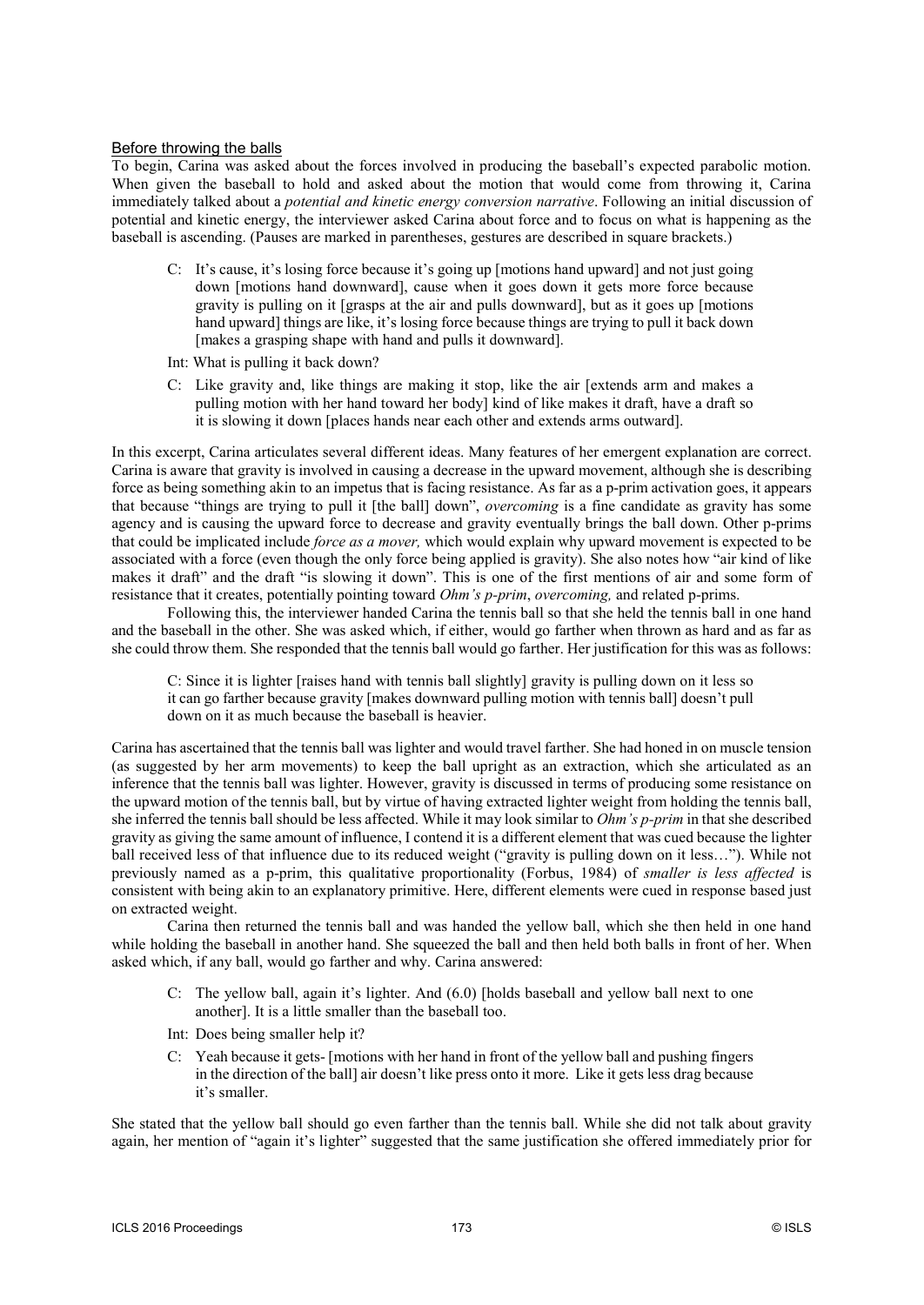#### Before throwing the balls

To begin, Carina was asked about the forces involved in producing the baseball's expected parabolic motion. When given the baseball to hold and asked about the motion that would come from throwing it, Carina immediately talked about a *potential and kinetic energy conversion narrative*. Following an initial discussion of potential and kinetic energy, the interviewer asked Carina about force and to focus on what is happening as the baseball is ascending. (Pauses are marked in parentheses, gestures are described in square brackets.)

- C: It's cause, it's losing force because it's going up [motions hand upward] and not just going down [motions hand downward], cause when it goes down it gets more force because gravity is pulling on it [grasps at the air and pulls downward], but as it goes up [motions hand upward] things are like, it's losing force because things are trying to pull it back down [makes a grasping shape with hand and pulls it downward].
- Int: What is pulling it back down?
- C: Like gravity and, like things are making it stop, like the air [extends arm and makes a pulling motion with her hand toward her body] kind of like makes it draft, have a draft so it is slowing it down [places hands near each other and extends arms outward].

In this excerpt, Carina articulates several different ideas. Many features of her emergent explanation are correct. Carina is aware that gravity is involved in causing a decrease in the upward movement, although she is describing force as being something akin to an impetus that is facing resistance. As far as a p-prim activation goes, it appears that because "things are trying to pull it [the ball] down", *overcoming* is a fine candidate as gravity has some agency and is causing the upward force to decrease and gravity eventually brings the ball down. Other p-prims that could be implicated include *force as a mover,* which would explain why upward movement is expected to be associated with a force (even though the only force being applied is gravity). She also notes how "air kind of like makes it draft" and the draft "is slowing it down". This is one of the first mentions of air and some form of resistance that it creates, potentially pointing toward *Ohm's p-prim*, *overcoming,* and related p-prims.

Following this, the interviewer handed Carina the tennis ball so that she held the tennis ball in one hand and the baseball in the other. She was asked which, if either, would go farther when thrown as hard and as far as she could throw them. She responded that the tennis ball would go farther. Her justification for this was as follows:

C: Since it is lighter [raises hand with tennis ball slightly] gravity is pulling down on it less so it can go farther because gravity [makes downward pulling motion with tennis ball] doesn't pull down on it as much because the baseball is heavier.

Carina has ascertained that the tennis ball was lighter and would travel farther. She had honed in on muscle tension (as suggested by her arm movements) to keep the ball upright as an extraction, which she articulated as an inference that the tennis ball was lighter. However, gravity is discussed in terms of producing some resistance on the upward motion of the tennis ball, but by virtue of having extracted lighter weight from holding the tennis ball, she inferred the tennis ball should be less affected. While it may look similar to *Ohm's p-prim* in that she described gravity as giving the same amount of influence, I contend it is a different element that was cued because the lighter ball received less of that influence due to its reduced weight ("gravity is pulling down on it less…"). While not previously named as a p-prim, this qualitative proportionality (Forbus, 1984) of *smaller is less affected* is consistent with being akin to an explanatory primitive. Here, different elements were cued in response based just on extracted weight.

Carina then returned the tennis ball and was handed the yellow ball, which she then held in one hand while holding the baseball in another hand. She squeezed the ball and then held both balls in front of her. When asked which, if any ball, would go farther and why. Carina answered:

- C: The yellow ball, again it's lighter. And (6.0) [holds baseball and yellow ball next to one another]. It is a little smaller than the baseball too.
- Int: Does being smaller help it?
- C: Yeah because it gets- [motions with her hand in front of the yellow ball and pushing fingers in the direction of the ball] air doesn't like press onto it more. Like it gets less drag because it's smaller.

She stated that the yellow ball should go even farther than the tennis ball. While she did not talk about gravity again, her mention of "again it's lighter" suggested that the same justification she offered immediately prior for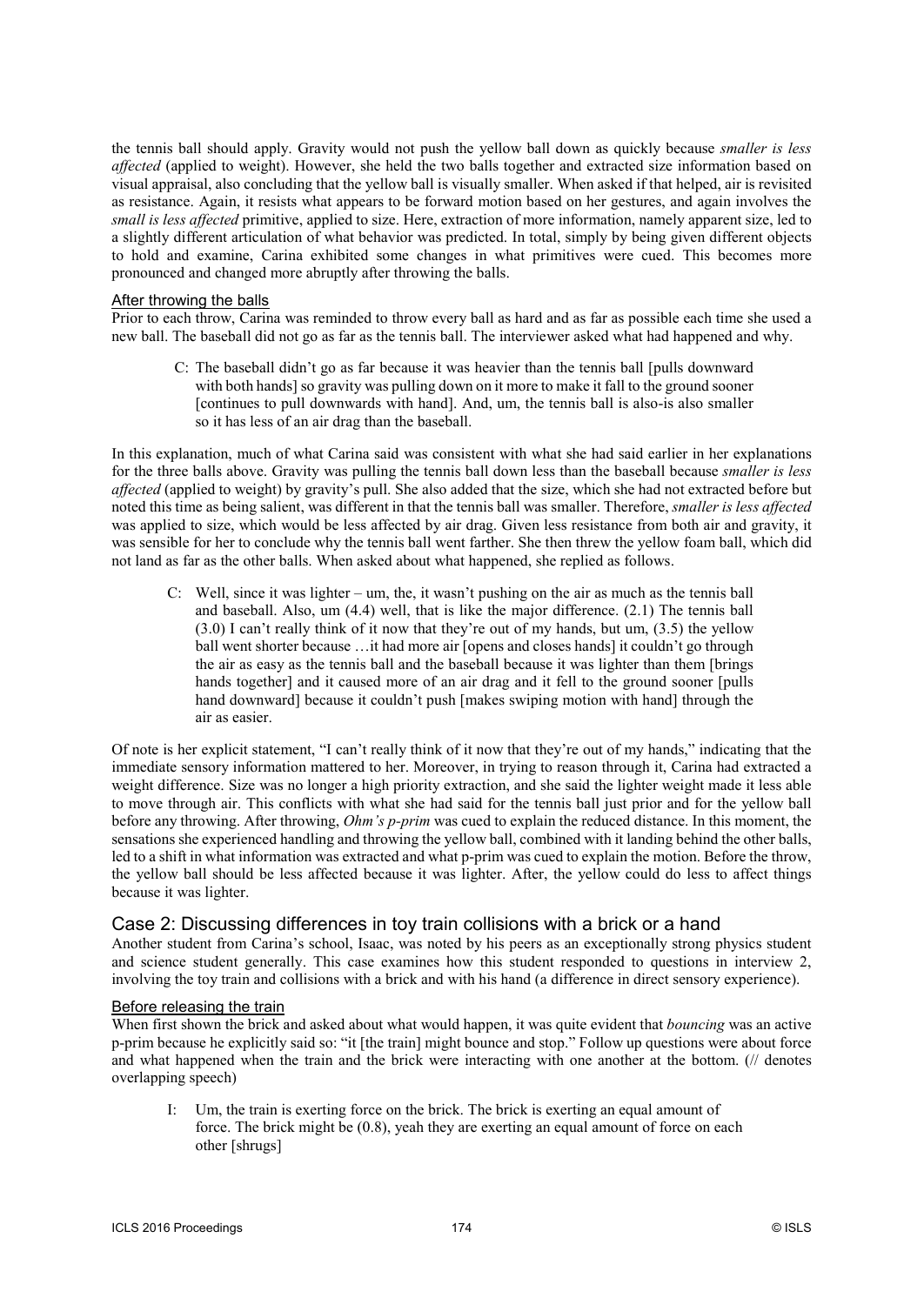the tennis ball should apply. Gravity would not push the yellow ball down as quickly because *smaller is less affected* (applied to weight). However, she held the two balls together and extracted size information based on visual appraisal, also concluding that the yellow ball is visually smaller. When asked if that helped, air is revisited as resistance. Again, it resists what appears to be forward motion based on her gestures, and again involves the *small is less affected* primitive, applied to size. Here, extraction of more information, namely apparent size, led to a slightly different articulation of what behavior was predicted. In total, simply by being given different objects to hold and examine, Carina exhibited some changes in what primitives were cued. This becomes more pronounced and changed more abruptly after throwing the balls.

#### After throwing the balls

Prior to each throw, Carina was reminded to throw every ball as hard and as far as possible each time she used a new ball. The baseball did not go as far as the tennis ball. The interviewer asked what had happened and why.

C: The baseball didn't go as far because it was heavier than the tennis ball [pulls downward with both hands] so gravity was pulling down on it more to make it fall to the ground sooner [continues to pull downwards with hand]. And, um, the tennis ball is also-is also smaller so it has less of an air drag than the baseball.

In this explanation, much of what Carina said was consistent with what she had said earlier in her explanations for the three balls above. Gravity was pulling the tennis ball down less than the baseball because *smaller is less affected* (applied to weight) by gravity's pull. She also added that the size, which she had not extracted before but noted this time as being salient, was different in that the tennis ball was smaller. Therefore, *smaller is less affected* was applied to size, which would be less affected by air drag. Given less resistance from both air and gravity, it was sensible for her to conclude why the tennis ball went farther. She then threw the yellow foam ball, which did not land as far as the other balls. When asked about what happened, she replied as follows.

C: Well, since it was lighter – um, the, it wasn't pushing on the air as much as the tennis ball and baseball. Also, um (4.4) well, that is like the major difference. (2.1) The tennis ball (3.0) I can't really think of it now that they're out of my hands, but um, (3.5) the yellow ball went shorter because …it had more air [opens and closes hands] it couldn't go through the air as easy as the tennis ball and the baseball because it was lighter than them [brings hands together] and it caused more of an air drag and it fell to the ground sooner [pulls hand downward] because it couldn't push [makes swiping motion with hand] through the air as easier.

Of note is her explicit statement, "I can't really think of it now that they're out of my hands," indicating that the immediate sensory information mattered to her. Moreover, in trying to reason through it, Carina had extracted a weight difference. Size was no longer a high priority extraction, and she said the lighter weight made it less able to move through air. This conflicts with what she had said for the tennis ball just prior and for the yellow ball before any throwing. After throwing, *Ohm's p-prim* was cued to explain the reduced distance. In this moment, the sensations she experienced handling and throwing the yellow ball, combined with it landing behind the other balls, led to a shift in what information was extracted and what p-prim was cued to explain the motion. Before the throw, the yellow ball should be less affected because it was lighter. After, the yellow could do less to affect things because it was lighter.

### Case 2: Discussing differences in toy train collisions with a brick or a hand

Another student from Carina's school, Isaac, was noted by his peers as an exceptionally strong physics student and science student generally. This case examines how this student responded to questions in interview 2, involving the toy train and collisions with a brick and with his hand (a difference in direct sensory experience).

#### Before releasing the train

When first shown the brick and asked about what would happen, it was quite evident that *bouncing* was an active p-prim because he explicitly said so: "it [the train] might bounce and stop." Follow up questions were about force and what happened when the train and the brick were interacting with one another at the bottom. (// denotes overlapping speech)

Um, the train is exerting force on the brick. The brick is exerting an equal amount of force. The brick might be (0.8), yeah they are exerting an equal amount of force on each other [shrugs]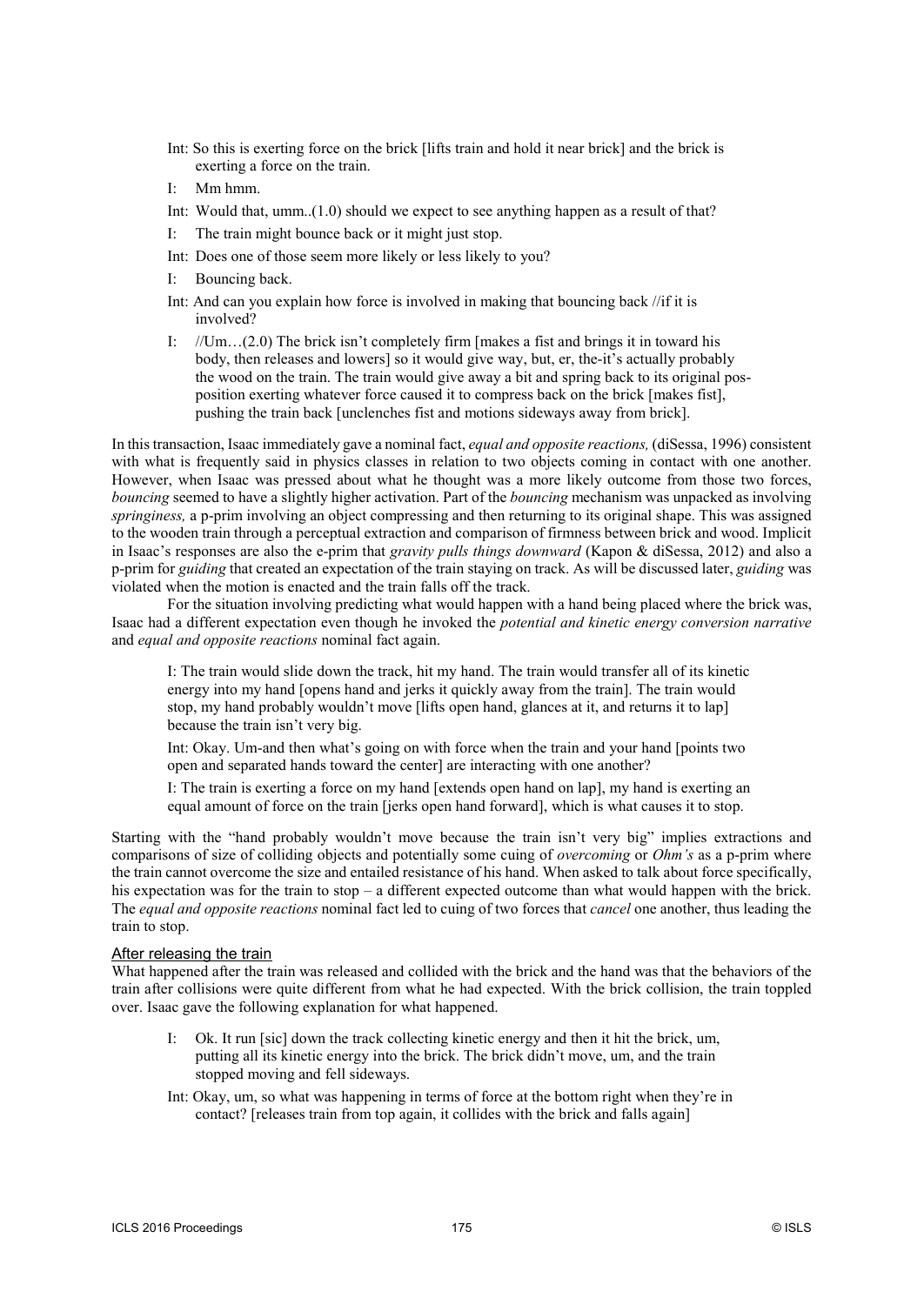- Int: So this is exerting force on the brick [lifts train and hold it near brick] and the brick is exerting a force on the train.
- I: Mm hmm.
- Int: Would that, umm..(1.0) should we expect to see anything happen as a result of that?
- I: The train might bounce back or it might just stop.
- Int: Does one of those seem more likely or less likely to you?
- I: Bouncing back.
- Int: And can you explain how force is involved in making that bouncing back //if it is involved?
- I:  $//Um...(2.0)$  The brick isn't completely firm [makes a fist and brings it in toward his body, then releases and lowers] so it would give way, but, er, the-it's actually probably the wood on the train. The train would give away a bit and spring back to its original posposition exerting whatever force caused it to compress back on the brick [makes fist], pushing the train back [unclenches fist and motions sideways away from brick].

In this transaction, Isaac immediately gave a nominal fact, *equal and opposite reactions,* (diSessa, 1996) consistent with what is frequently said in physics classes in relation to two objects coming in contact with one another. However, when Isaac was pressed about what he thought was a more likely outcome from those two forces, *bouncing* seemed to have a slightly higher activation. Part of the *bouncing* mechanism was unpacked as involving *springiness,* a p-prim involving an object compressing and then returning to its original shape. This was assigned to the wooden train through a perceptual extraction and comparison of firmness between brick and wood. Implicit in Isaac's responses are also the e-prim that *gravity pulls things downward* (Kapon & diSessa, 2012) and also a p-prim for *guiding* that created an expectation of the train staying on track. As will be discussed later, *guiding* was violated when the motion is enacted and the train falls off the track.

For the situation involving predicting what would happen with a hand being placed where the brick was, Isaac had a different expectation even though he invoked the *potential and kinetic energy conversion narrative* and *equal and opposite reactions* nominal fact again.

I: The train would slide down the track, hit my hand. The train would transfer all of its kinetic energy into my hand [opens hand and jerks it quickly away from the train]. The train would stop, my hand probably wouldn't move [lifts open hand, glances at it, and returns it to lap] because the train isn't very big.

Int: Okay. Um-and then what's going on with force when the train and your hand [points two open and separated hands toward the center] are interacting with one another?

I: The train is exerting a force on my hand [extends open hand on lap], my hand is exerting an equal amount of force on the train [jerks open hand forward], which is what causes it to stop.

Starting with the "hand probably wouldn't move because the train isn't very big" implies extractions and comparisons of size of colliding objects and potentially some cuing of *overcoming* or *Ohm's* as a p-prim where the train cannot overcome the size and entailed resistance of his hand. When asked to talk about force specifically, his expectation was for the train to stop – a different expected outcome than what would happen with the brick. The *equal and opposite reactions* nominal fact led to cuing of two forces that *cancel* one another, thus leading the train to stop.

#### After releasing the train

What happened after the train was released and collided with the brick and the hand was that the behaviors of the train after collisions were quite different from what he had expected. With the brick collision, the train toppled over. Isaac gave the following explanation for what happened.

- Ok. It run [sic] down the track collecting kinetic energy and then it hit the brick, um, putting all its kinetic energy into the brick. The brick didn't move, um, and the train stopped moving and fell sideways.
- Int: Okay, um, so what was happening in terms of force at the bottom right when they're in contact? [releases train from top again, it collides with the brick and falls again]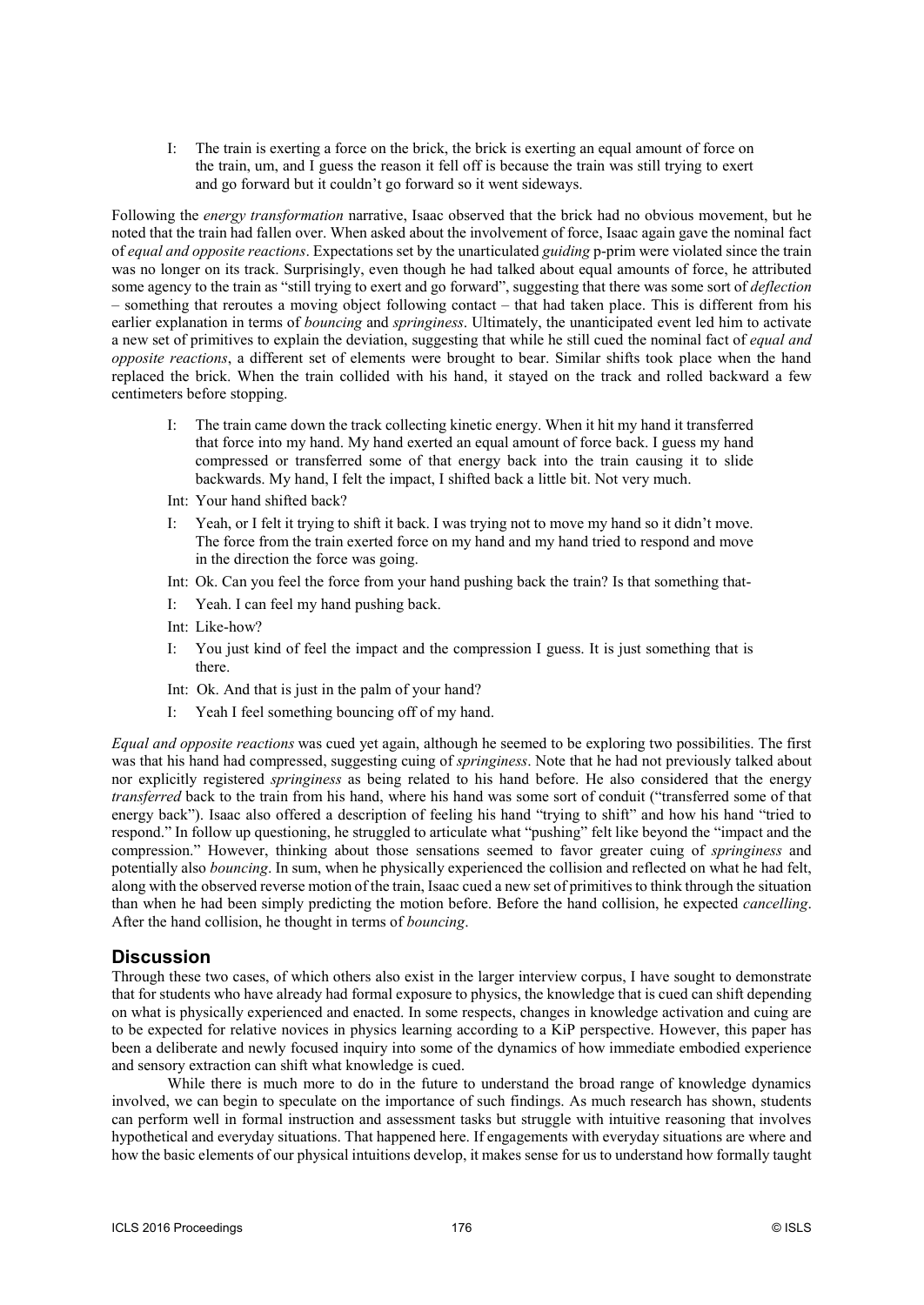I: The train is exerting a force on the brick, the brick is exerting an equal amount of force on the train, um, and I guess the reason it fell off is because the train was still trying to exert and go forward but it couldn't go forward so it went sideways.

Following the *energy transformation* narrative, Isaac observed that the brick had no obvious movement, but he noted that the train had fallen over. When asked about the involvement of force, Isaac again gave the nominal fact of *equal and opposite reactions*. Expectations set by the unarticulated *guiding* p-prim were violated since the train was no longer on its track. Surprisingly, even though he had talked about equal amounts of force, he attributed some agency to the train as "still trying to exert and go forward", suggesting that there was some sort of *deflection* – something that reroutes a moving object following contact – that had taken place. This is different from his earlier explanation in terms of *bouncing* and *springiness*. Ultimately, the unanticipated event led him to activate a new set of primitives to explain the deviation, suggesting that while he still cued the nominal fact of *equal and opposite reactions*, a different set of elements were brought to bear. Similar shifts took place when the hand replaced the brick. When the train collided with his hand, it stayed on the track and rolled backward a few centimeters before stopping.

- I: The train came down the track collecting kinetic energy. When it hit my hand it transferred that force into my hand. My hand exerted an equal amount of force back. I guess my hand compressed or transferred some of that energy back into the train causing it to slide backwards. My hand, I felt the impact, I shifted back a little bit. Not very much.
- Int: Your hand shifted back?
- I: Yeah, or I felt it trying to shift it back. I was trying not to move my hand so it didn't move. The force from the train exerted force on my hand and my hand tried to respond and move in the direction the force was going.
- Int: Ok. Can you feel the force from your hand pushing back the train? Is that something that-
- I: Yeah. I can feel my hand pushing back.
- Int: Like-how?
- I: You just kind of feel the impact and the compression I guess. It is just something that is there.
- Int: Ok. And that is just in the palm of your hand?
- I: Yeah I feel something bouncing off of my hand.

*Equal and opposite reactions* was cued yet again, although he seemed to be exploring two possibilities. The first was that his hand had compressed, suggesting cuing of *springiness*. Note that he had not previously talked about nor explicitly registered *springiness* as being related to his hand before. He also considered that the energy *transferred* back to the train from his hand, where his hand was some sort of conduit ("transferred some of that energy back"). Isaac also offered a description of feeling his hand "trying to shift" and how his hand "tried to respond." In follow up questioning, he struggled to articulate what "pushing" felt like beyond the "impact and the compression." However, thinking about those sensations seemed to favor greater cuing of *springiness* and potentially also *bouncing*. In sum, when he physically experienced the collision and reflected on what he had felt, along with the observed reverse motion of the train, Isaac cued a new set of primitives to think through the situation than when he had been simply predicting the motion before. Before the hand collision, he expected *cancelling*. After the hand collision, he thought in terms of *bouncing*.

### **Discussion**

Through these two cases, of which others also exist in the larger interview corpus, I have sought to demonstrate that for students who have already had formal exposure to physics, the knowledge that is cued can shift depending on what is physically experienced and enacted. In some respects, changes in knowledge activation and cuing are to be expected for relative novices in physics learning according to a KiP perspective. However, this paper has been a deliberate and newly focused inquiry into some of the dynamics of how immediate embodied experience and sensory extraction can shift what knowledge is cued.

While there is much more to do in the future to understand the broad range of knowledge dynamics involved, we can begin to speculate on the importance of such findings. As much research has shown, students can perform well in formal instruction and assessment tasks but struggle with intuitive reasoning that involves hypothetical and everyday situations. That happened here. If engagements with everyday situations are where and how the basic elements of our physical intuitions develop, it makes sense for us to understand how formally taught